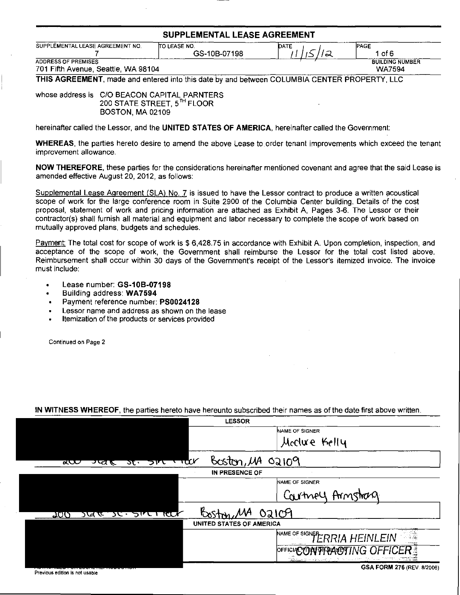## SUPPLEMENTAL LEASE AGREEMENT

| SUPPLEMENTAL LEASE AGREEMENT NO.    | ITO LEASE NO. | DATE   | <b>PAGE</b>            |
|-------------------------------------|---------------|--------|------------------------|
|                                     | GS-10B-07198  | $\sim$ | 1 of 6                 |
| <b>ADDRESS OF PREMISES</b>          |               |        | <b>BUILDING NUMBER</b> |
| 701 Fifth Avenue, Seattle, WA 98104 |               |        | <b>WA7594</b>          |
| THIS LABERMENT                      |               | A      |                        |

THIS AGREEMENT, made and entered into this date by and between COLUMBIA CENTER PROPERTY, LLC

whose address is C/O BEACON CAPITAL PARNTERS 200 STATE STREET, 5TH FLOOR BOSTON, MA 02109

hereinafter called the Lessor, and the UNITED STATES OF AMERICA, hereinafter called the Government:

WHEREAS, the parties hereto desire to amend the above Lease to order tenant improvements which exceed the tenant improvement allowance.

NOW THEREFORE, these parties for the considerations hereinafter mentioned covenant and agree that the said Lease is amended effective August 20, 2012, as follows:

Supplemental Lease Agreement (SLA) No. 7 is issued to have the Lessor contract to produce a written acoustical scope of work for the large conference room in Suite 2900 of the Columbia Center building. Details of the cost proposal, statement of work and pricing information are attached as Exhibit A, Pages 3-6. The Lessor or their contractor(s) shall furnish all material and equipment and labor necessary to complete the scope of work based on mutually approved plans, budgets and schedules.

Payment: The total cost for scope of work is \$ 6,428.75 in accordance with Exhibit A. Upon completion, inspection, and acceptance of the scope of work, the Government shall reimburse the Lessor for the total cost listed above. Reimbursement shall occur within 30 days of the Government's receipt of the Lessor's itemized invoice. The invoice must include:

- Lease number: GS-10B-07198
- Building address: WA7594
- Payment reference number: PS0024128
- Lessor name and address as shown on the lease
- Itemization of the products or services provided

Continued on Page 2

## IN WITNESS WHEREOF, the parties hereto have hereunto subscribed their names as of the date first above written.

| <b>LESSOR</b>                                                                    |                                                               |  |  |
|----------------------------------------------------------------------------------|---------------------------------------------------------------|--|--|
|                                                                                  | NAME OF SIGNER                                                |  |  |
|                                                                                  | Meclure Kelly                                                 |  |  |
| Boston, $\mu$ A 02109<br>$\tau$ $\alpha$<br>ळ् $\bf\sigma$<br>ञ्खह<br>ついて<br>স্ত |                                                               |  |  |
| IN PRESENCE OF                                                                   |                                                               |  |  |
|                                                                                  | NAME OF SIGNER                                                |  |  |
|                                                                                  | Courtney Armstrag                                             |  |  |
| ऽपर ऽए इारा स्टा <i>र</i><br><u> 200</u>                                         | 0a109                                                         |  |  |
| UNITED STATES OF AMERICA                                                         |                                                               |  |  |
|                                                                                  | ान्द्र<br>प्राचीन<br>NAME OF SIGNER RIA HEINLEIN<br>n massage |  |  |
|                                                                                  | OFFICIACON TRACTING OFFI<br>ie spozagiej in w su zami motum   |  |  |
|                                                                                  |                                                               |  |  |

Previous edition is not usable